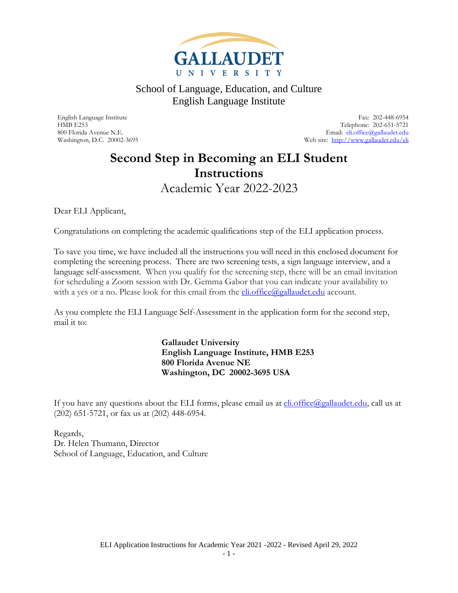

English Language Institute Fax: 202-448-6954 Telephone: 202-651-5721 800 Florida Avenue N.E. Email: [eli.office@gallaudet.edu](mailto:eli.office@gallaudet.edu) Washington, D.C. 20002-3695 Web site:<http://www.gallaudet.edu/eli>

### <span id="page-0-0"></span>**Second Step in Becoming an ELI Student Instructions** Academic Year 2022-2023

<span id="page-0-1"></span>Dear ELI Applicant,

Congratulations on completing the academic qualifications step of the ELI application process.

To save you time, we have included all the instructions you will need in this enclosed document for completing the screening process. There are two screening tests, a sign language interview, and a language self-assessment. When you qualify for the screening step, there will be an email invitation for scheduling a Zoom session with Dr. Gemma Gabor that you can indicate your availability to with a yes or a no. Please look for this email from the  $eli.office(\mathcal{Q}gallaudet.edu$  account.

As you complete the ELI Language Self-Assessment in the application form for the second step, mail it to:

> **Gallaudet University English Language Institute, HMB E253 800 Florida Avenue NE Washington, DC 20002-3695 USA**

If you have any questions about the ELI forms, please email us at *eli.office@gallaudet.edu*, call us at (202) 651-5721, or fax us at (202) 448-6954.

Regards, Dr. Helen Thumann, Director School of Language, Education, and Culture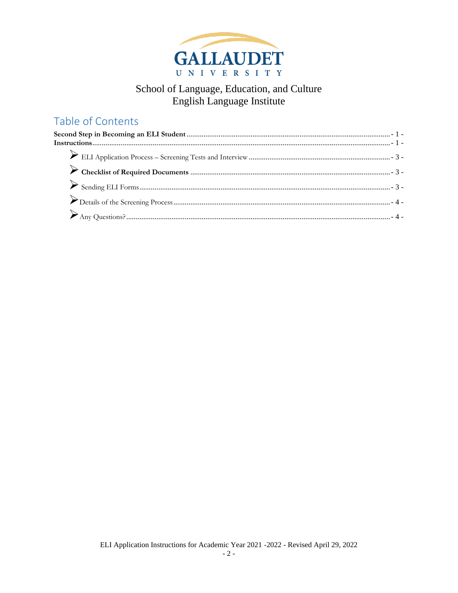

### Table of Contents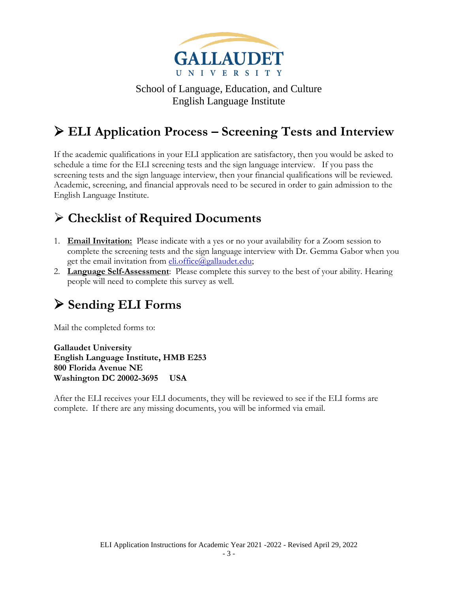

# <span id="page-2-0"></span>➢ **ELI Application Process – Screening Tests and Interview**

If the academic qualifications in your ELI application are satisfactory, then you would be asked to schedule a time for the ELI screening tests and the sign language interview. If you pass the screening tests and the sign language interview, then your financial qualifications will be reviewed. Academic, screening, and financial approvals need to be secured in order to gain admission to the English Language Institute.

### <span id="page-2-1"></span>➢ **Checklist of Required Documents**

- 1. **Email Invitation:** Please indicate with a yes or no your availability for a Zoom session to complete the screening tests and the sign language interview with Dr. Gemma Gabor when you get the email invitation from [eli.office@gallaudet.edu;](mailto:eli.office@gallaudet.edu)
- 2. **Language Self-Assessment**: Please complete this survey to the best of your ability. Hearing people will need to complete this survey as well.

## <span id="page-2-2"></span>➢ **Sending ELI Forms**

Mail the completed forms to:

**Gallaudet University English Language Institute, HMB E253 800 Florida Avenue NE Washington DC 20002-3695 USA**

After the ELI receives your ELI documents, they will be reviewed to see if the ELI forms are complete. If there are any missing documents, you will be informed via email.